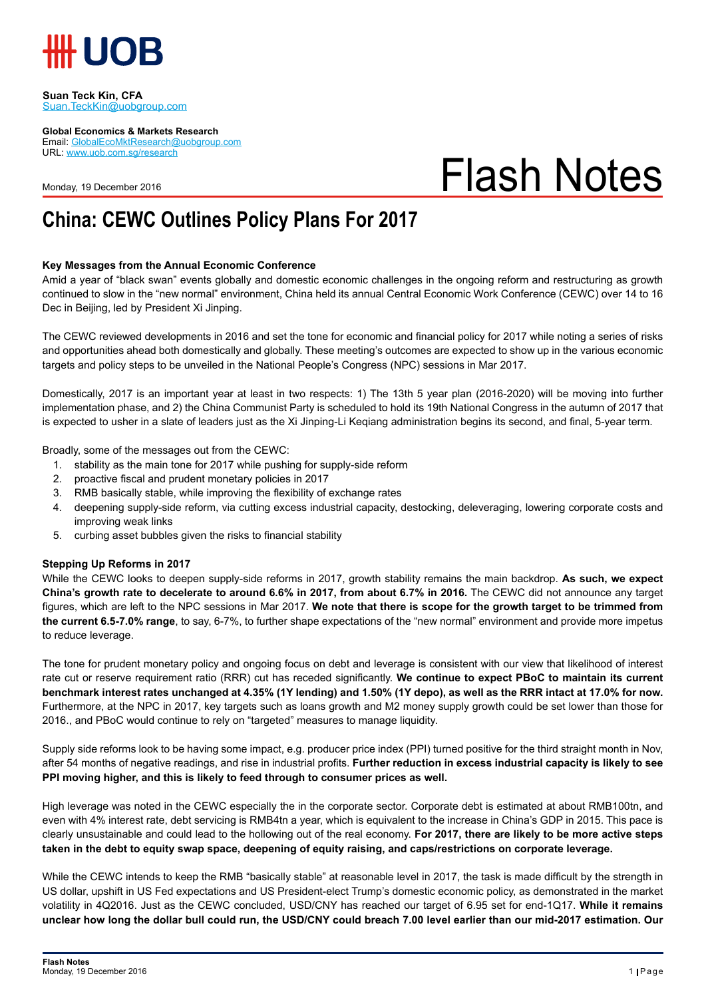

#### **Suan Teck Kin, CFA** Suan.TeckKin@uobgroup.com

**Global Economics & Markets Research**

Email: GlobalEcoMktResearch@uobgroup.com URL: www.uob.com.sg/research

Monday, 19 December 2016

# Flash Notes

## **China: CEWC Outlines Policy Plans For 2017**

#### **Key Messages from the Annual Economic Conference**

Amid a year of "black swan" events globally and domestic economic challenges in the ongoing reform and restructuring as growth continued to slow in the "new normal" environment, China held its annual Central Economic Work Conference (CEWC) over 14 to 16 Dec in Beijing, led by President Xi Jinping.

The CEWC reviewed developments in 2016 and set the tone for economic and financial policy for 2017 while noting a series of risks and opportunities ahead both domestically and globally. These meeting's outcomes are expected to show up in the various economic targets and policy steps to be unveiled in the National People's Congress (NPC) sessions in Mar 2017.

Domestically, 2017 is an important year at least in two respects: 1) The 13th 5 year plan (2016-2020) will be moving into further implementation phase, and 2) the China Communist Party is scheduled to hold its 19th National Congress in the autumn of 2017 that is expected to usher in a slate of leaders just as the Xi Jinping-Li Keqiang administration begins its second, and final, 5-year term.

Broadly, some of the messages out from the CEWC:

- 1. stability as the main tone for 2017 while pushing for supply-side reform
- 2. proactive fiscal and prudent monetary policies in 2017
- 3. RMB basically stable, while improving the flexibility of exchange rates
- 4. deepening supply-side reform, via cutting excess industrial capacity, destocking, deleveraging, lowering corporate costs and improving weak links
- 5. curbing asset bubbles given the risks to financial stability

#### **Stepping Up Reforms in 2017**

While the CEWC looks to deepen supply-side reforms in 2017, growth stability remains the main backdrop. **As such, we expect China's growth rate to decelerate to around 6.6% in 2017, from about 6.7% in 2016.** The CEWC did not announce any target figures, which are left to the NPC sessions in Mar 2017. **We note that there is scope for the growth target to be trimmed from the current 6.5-7.0% range**, to say, 6-7%, to further shape expectations of the "new normal" environment and provide more impetus to reduce leverage.

The tone for prudent monetary policy and ongoing focus on debt and leverage is consistent with our view that likelihood of interest rate cut or reserve requirement ratio (RRR) cut has receded significantly. **We continue to expect PBoC to maintain its current benchmark interest rates unchanged at 4.35% (1Y lending) and 1.50% (1Y depo), as well as the RRR intact at 17.0% for now.**  Furthermore, at the NPC in 2017, key targets such as loans growth and M2 money supply growth could be set lower than those for 2016., and PBoC would continue to rely on "targeted" measures to manage liquidity.

Supply side reforms look to be having some impact, e.g. producer price index (PPI) turned positive for the third straight month in Nov, after 54 months of negative readings, and rise in industrial profits. **Further reduction in excess industrial capacity is likely to see PPI moving higher, and this is likely to feed through to consumer prices as well.** 

High leverage was noted in the CEWC especially the in the corporate sector. Corporate debt is estimated at about RMB100tn, and even with 4% interest rate, debt servicing is RMB4tn a year, which is equivalent to the increase in China's GDP in 2015. This pace is clearly unsustainable and could lead to the hollowing out of the real economy. **For 2017, there are likely to be more active steps taken in the debt to equity swap space, deepening of equity raising, and caps/restrictions on corporate leverage.** 

While the CEWC intends to keep the RMB "basically stable" at reasonable level in 2017, the task is made difficult by the strength in US dollar, upshift in US Fed expectations and US President-elect Trump's domestic economic policy, as demonstrated in the market volatility in 4Q2016. Just as the CEWC concluded, USD/CNY has reached our target of 6.95 set for end-1Q17. **While it remains unclear how long the dollar bull could run, the USD/CNY could breach 7.00 level earlier than our mid-2017 estimation. Our**